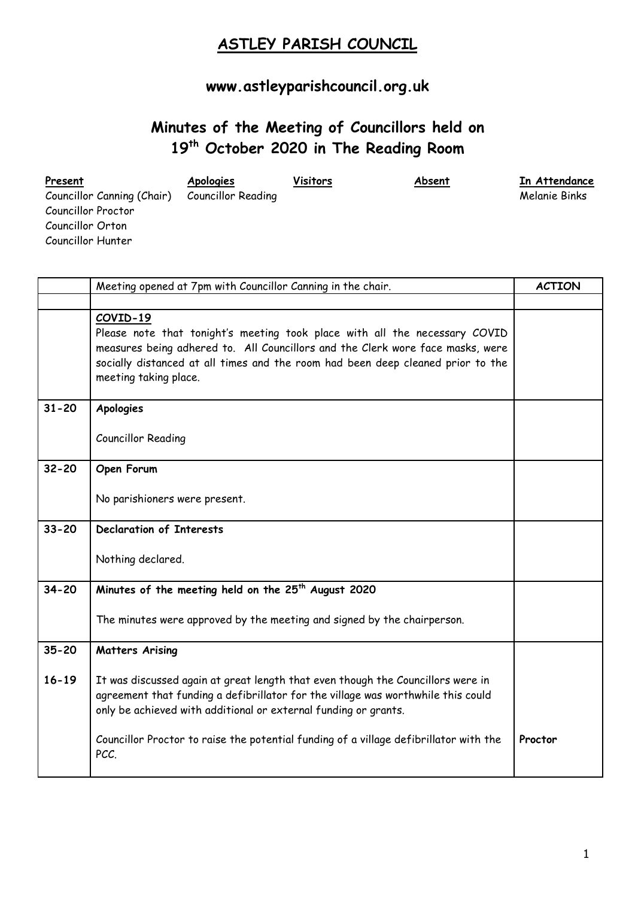## **ASTLEY PARISH COUNCIL**

## **[www.astleyparishcouncil.org.uk](http://www.astleyparishcouncil.org.uk/)**

## **Minutes of the Meeting of Councillors held on 19th October 2020 in The Reading Room**

| Present                    | <b>Apologies</b>          | Visitors | Absent | In Attendance |
|----------------------------|---------------------------|----------|--------|---------------|
| Councillor Canning (Chair) | <b>Councillor Reading</b> |          |        | Melanie Binks |
| Councillor Proctor         |                           |          |        |               |
| Councillor Orton           |                           |          |        |               |
| Councillor Hunter          |                           |          |        |               |

|           | Meeting opened at 7pm with Councillor Canning in the chair.                                                                                                                                                                                                                          |         |
|-----------|--------------------------------------------------------------------------------------------------------------------------------------------------------------------------------------------------------------------------------------------------------------------------------------|---------|
|           |                                                                                                                                                                                                                                                                                      |         |
|           | COVID-19<br>Please note that tonight's meeting took place with all the necessary COVID<br>measures being adhered to. All Councillors and the Clerk wore face masks, were<br>socially distanced at all times and the room had been deep cleaned prior to the<br>meeting taking place. |         |
| $31 - 20$ | Apologies                                                                                                                                                                                                                                                                            |         |
|           | Councillor Reading                                                                                                                                                                                                                                                                   |         |
| $32 - 20$ | Open Forum                                                                                                                                                                                                                                                                           |         |
|           | No parishioners were present.                                                                                                                                                                                                                                                        |         |
| $33 - 20$ | <b>Declaration of Interests</b>                                                                                                                                                                                                                                                      |         |
|           | Nothing declared.                                                                                                                                                                                                                                                                    |         |
| $34 - 20$ | Minutes of the meeting held on the 25 <sup>th</sup> August 2020                                                                                                                                                                                                                      |         |
|           | The minutes were approved by the meeting and signed by the chairperson.                                                                                                                                                                                                              |         |
| $35 - 20$ | <b>Matters Arising</b>                                                                                                                                                                                                                                                               |         |
| $16 - 19$ | It was discussed again at great length that even though the Councillors were in<br>agreement that funding a defibrillator for the village was worthwhile this could<br>only be achieved with additional or external funding or grants.                                               |         |
|           | Councillor Proctor to raise the potential funding of a village defibrillator with the<br>PCC.                                                                                                                                                                                        | Proctor |